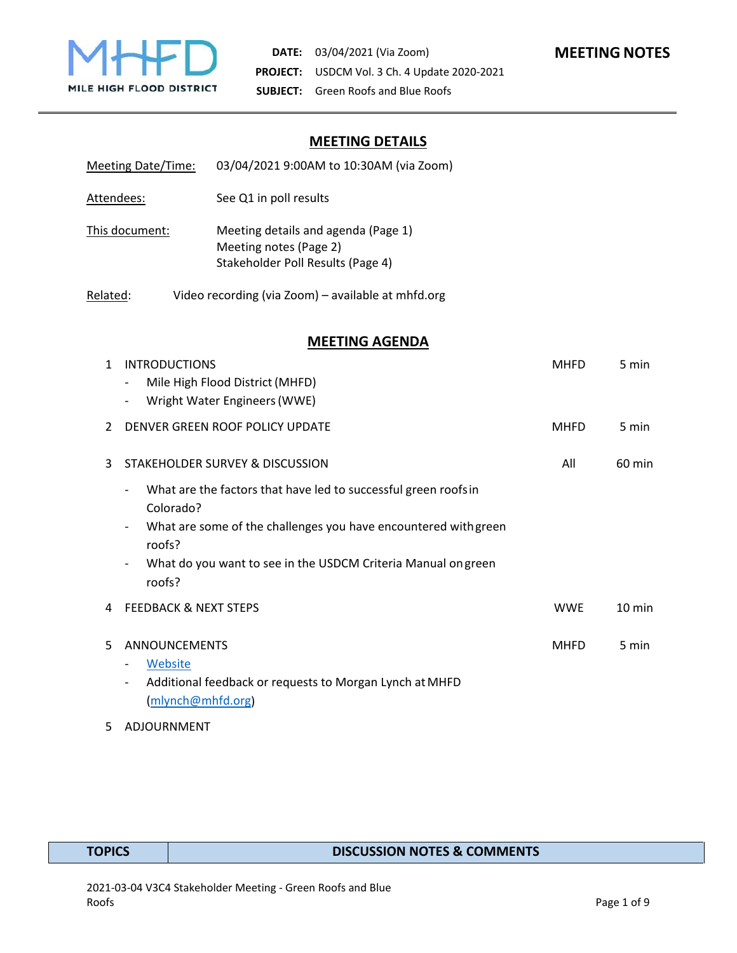

# **MEETING DETAILS**

| Meeting Date/Time: | 03/04/2021 9:00AM to 10:30AM (via Zoom)                                                            |
|--------------------|----------------------------------------------------------------------------------------------------|
| Attendees:         | See Q1 in poll results                                                                             |
| This document:     | Meeting details and agenda (Page 1)<br>Meeting notes (Page 2)<br>Stakeholder Poll Results (Page 4) |

*Related:* Video recording (via Zoom) – available at mhfd.org

# **MEETING AGENDA**

| $\mathbf{1}$ | <b>INTRODUCTIONS</b><br>Mile High Flood District (MHFD)<br>Wright Water Engineers (WWE)                                                                                                                                                                                 | <b>MHFD</b> | 5 min            |
|--------------|-------------------------------------------------------------------------------------------------------------------------------------------------------------------------------------------------------------------------------------------------------------------------|-------------|------------------|
| 2            | DENVER GREEN ROOF POLICY UPDATE                                                                                                                                                                                                                                         | <b>MHFD</b> | 5 min            |
| 3            | STAKEHOLDER SURVEY & DISCUSSION<br>What are the factors that have led to successful green roofs in<br>Colorado?<br>What are some of the challenges you have encountered with green<br>roofs?<br>What do you want to see in the USDCM Criteria Manual on green<br>roofs? | All         | $60 \text{ min}$ |
| 4            | <b>FEEDBACK &amp; NEXT STEPS</b>                                                                                                                                                                                                                                        | <b>WWE</b>  | $10 \text{ min}$ |
| 5            | <b>ANNOUNCEMENTS</b><br>Website<br>Additional feedback or requests to Morgan Lynch at MHFD<br>mlynch@mhfd.org)                                                                                                                                                          | <b>MHFD</b> | 5 min            |
| 5            | ADJOURNMENT                                                                                                                                                                                                                                                             |             |                  |

### **TOPICS DISCUSSION NOTES & COMMENTS**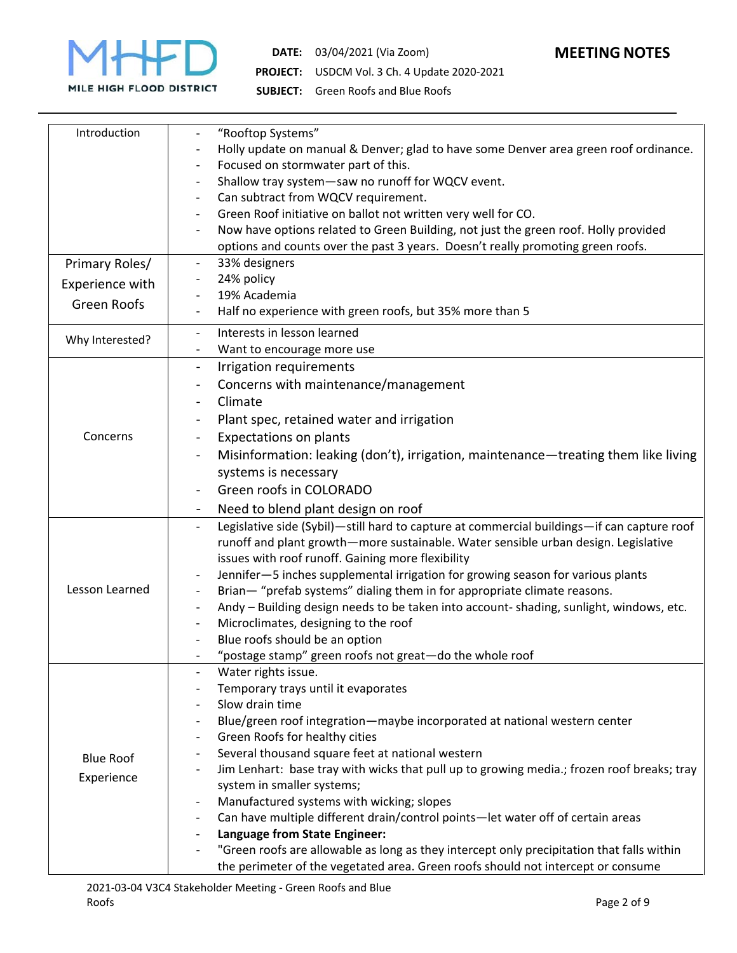

**DATE:** 03/04/2021 (Via Zoom) **MEETING NOTES**

**PROJECT:** USDCM Vol. 3 Ch. 4 Update 2020-2021

**SUBJECT:** Green Roofs and Blue Roofs

| Introduction       | "Rooftop Systems"                                                                                                                                          |
|--------------------|------------------------------------------------------------------------------------------------------------------------------------------------------------|
|                    | Holly update on manual & Denver; glad to have some Denver area green roof ordinance.                                                                       |
|                    | Focused on stormwater part of this.                                                                                                                        |
|                    | Shallow tray system-saw no runoff for WQCV event.<br>$\overline{\phantom{a}}$                                                                              |
|                    | Can subtract from WQCV requirement.<br>$\qquad \qquad \blacksquare$                                                                                        |
|                    | Green Roof initiative on ballot not written very well for CO.<br>$\overline{\phantom{a}}$                                                                  |
|                    | Now have options related to Green Building, not just the green roof. Holly provided<br>$\overline{\phantom{a}}$                                            |
|                    | options and counts over the past 3 years. Doesn't really promoting green roofs.                                                                            |
| Primary Roles/     | 33% designers<br>$\overline{\phantom{a}}$                                                                                                                  |
| Experience with    | 24% policy<br>$\qquad \qquad \blacksquare$                                                                                                                 |
|                    | 19% Academia                                                                                                                                               |
| <b>Green Roofs</b> | Half no experience with green roofs, but 35% more than 5<br>$\qquad \qquad \blacksquare$                                                                   |
| Why Interested?    | Interests in lesson learned<br>$\overline{\phantom{a}}$                                                                                                    |
|                    | Want to encourage more use<br>$\overline{\phantom{a}}$                                                                                                     |
|                    | Irrigation requirements<br>$\blacksquare$                                                                                                                  |
|                    | Concerns with maintenance/management<br>$\qquad \qquad \blacksquare$                                                                                       |
|                    | Climate<br>$\blacksquare$                                                                                                                                  |
|                    | Plant spec, retained water and irrigation<br>$\blacksquare$                                                                                                |
| Concerns           | <b>Expectations on plants</b><br>$\blacksquare$                                                                                                            |
|                    | Misinformation: leaking (don't), irrigation, maintenance-treating them like living                                                                         |
|                    | systems is necessary                                                                                                                                       |
|                    | Green roofs in COLORADO                                                                                                                                    |
|                    |                                                                                                                                                            |
|                    | Need to blend plant design on roof<br>$\overline{\phantom{a}}$                                                                                             |
|                    | Legislative side (Sybil)-still hard to capture at commercial buildings-if can capture roof<br>$\overline{\phantom{a}}$                                     |
|                    | runoff and plant growth-more sustainable. Water sensible urban design. Legislative                                                                         |
|                    | issues with roof runoff. Gaining more flexibility                                                                                                          |
| Lesson Learned     | Jennifer-5 inches supplemental irrigation for growing season for various plants<br>$\overline{\phantom{a}}$                                                |
|                    | Brian-"prefab systems" dialing them in for appropriate climate reasons.<br>$\overline{\phantom{a}}$                                                        |
|                    | Andy - Building design needs to be taken into account-shading, sunlight, windows, etc.<br>$\overline{\phantom{a}}$<br>Microclimates, designing to the roof |
|                    | Blue roofs should be an option                                                                                                                             |
|                    | "postage stamp" green roofs not great-do the whole roof                                                                                                    |
|                    | Water rights issue.                                                                                                                                        |
|                    | Temporary trays until it evaporates                                                                                                                        |
|                    | Slow drain time                                                                                                                                            |
|                    | Blue/green roof integration-maybe incorporated at national western center                                                                                  |
|                    | Green Roofs for healthy cities<br>$\overline{\phantom{a}}$                                                                                                 |
|                    | Several thousand square feet at national western<br>$\overline{\phantom{a}}$                                                                               |
| <b>Blue Roof</b>   | Jim Lenhart: base tray with wicks that pull up to growing media.; frozen roof breaks; tray<br>$\overline{\phantom{a}}$                                     |
| Experience         | system in smaller systems;                                                                                                                                 |
|                    | Manufactured systems with wicking; slopes                                                                                                                  |
|                    | Can have multiple different drain/control points-let water off of certain areas                                                                            |
|                    | Language from State Engineer:                                                                                                                              |
|                    | "Green roofs are allowable as long as they intercept only precipitation that falls within                                                                  |
|                    | the perimeter of the vegetated area. Green roofs should not intercept or consume                                                                           |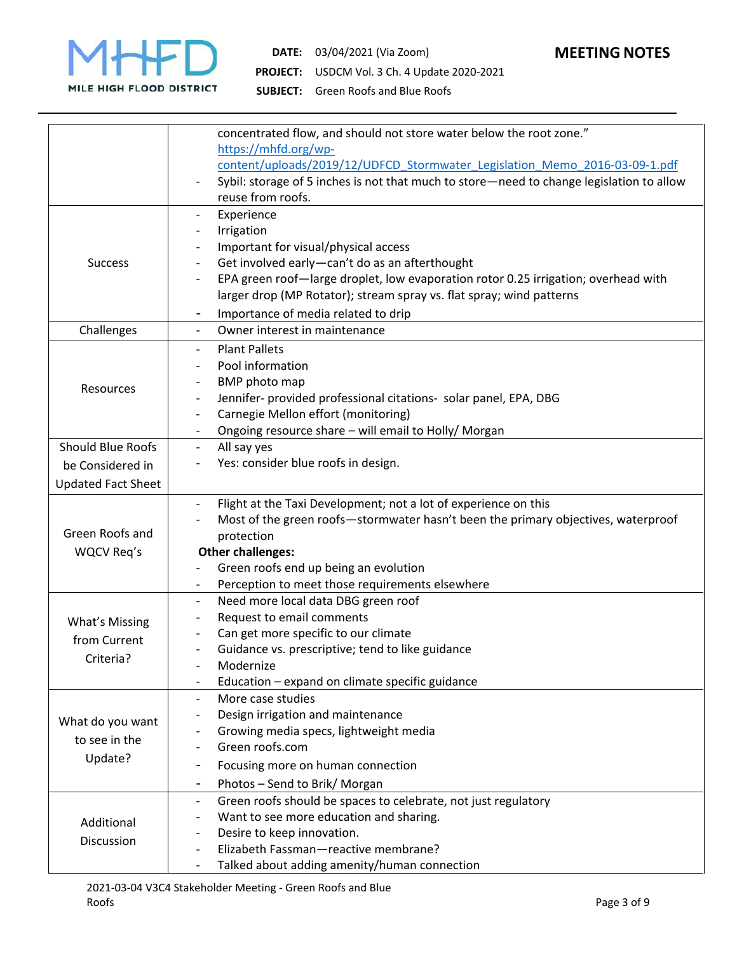

**DATE:** 03/04/2021 (Via Zoom) **MEETING NOTES PROJECT:** USDCM Vol. 3 Ch. 4 Update 2020-2021

**SUBJECT:** Green Roofs and Blue Roofs

|                           | concentrated flow, and should not store water below the root zone."                        |
|---------------------------|--------------------------------------------------------------------------------------------|
|                           | https://mhfd.org/wp-                                                                       |
|                           | content/uploads/2019/12/UDFCD Stormwater Legislation Memo 2016-03-09-1.pdf                 |
|                           | Sybil: storage of 5 inches is not that much to store—need to change legislation to allow   |
|                           | reuse from roofs.                                                                          |
|                           | Experience<br>$\overline{\phantom{a}}$                                                     |
|                           | Irrigation<br>$\overline{\phantom{a}}$                                                     |
|                           | Important for visual/physical access<br>$\overline{\phantom{a}}$                           |
| <b>Success</b>            | Get involved early-can't do as an afterthought                                             |
|                           | EPA green roof-large droplet, low evaporation rotor 0.25 irrigation; overhead with         |
|                           | larger drop (MP Rotator); stream spray vs. flat spray; wind patterns                       |
|                           |                                                                                            |
|                           | Importance of media related to drip                                                        |
| Challenges                | Owner interest in maintenance<br>$\overline{\phantom{a}}$                                  |
|                           | <b>Plant Pallets</b><br>$\overline{\phantom{a}}$                                           |
|                           | Pool information                                                                           |
| Resources                 | BMP photo map                                                                              |
|                           | Jennifer- provided professional citations- solar panel, EPA, DBG                           |
|                           | Carnegie Mellon effort (monitoring)                                                        |
|                           | Ongoing resource share - will email to Holly/ Morgan                                       |
| <b>Should Blue Roofs</b>  | All say yes<br>$\overline{\phantom{a}}$                                                    |
| be Considered in          | Yes: consider blue roofs in design.                                                        |
| <b>Updated Fact Sheet</b> |                                                                                            |
|                           | Flight at the Taxi Development; not a lot of experience on this<br>$\qquad \qquad -$       |
|                           | Most of the green roofs-stormwater hasn't been the primary objectives, waterproof          |
| Green Roofs and           | protection                                                                                 |
| <b>WQCV Req's</b>         | <b>Other challenges:</b>                                                                   |
|                           | Green roofs end up being an evolution                                                      |
|                           | Perception to meet those requirements elsewhere<br>$\qquad \qquad \blacksquare$            |
|                           | Need more local data DBG green roof<br>$\overline{\phantom{a}}$                            |
|                           | Request to email comments                                                                  |
| <b>What's Missing</b>     | Can get more specific to our climate<br>$\qquad \qquad \blacksquare$                       |
| from Current              | Guidance vs. prescriptive; tend to like guidance                                           |
| Criteria?                 | Modernize                                                                                  |
|                           | Education - expand on climate specific guidance                                            |
|                           | More case studies<br>$\qquad \qquad -$                                                     |
|                           | Design irrigation and maintenance                                                          |
| What do you want          | Growing media specs, lightweight media                                                     |
| to see in the             | Green roofs.com                                                                            |
| Update?                   | Focusing more on human connection<br>$\qquad \qquad \blacksquare$                          |
|                           |                                                                                            |
|                           | Photos - Send to Brik/ Morgan<br>$\overline{\phantom{a}}$                                  |
|                           | Green roofs should be spaces to celebrate, not just regulatory<br>$\overline{\phantom{a}}$ |
| Additional                | Want to see more education and sharing.                                                    |
| Discussion                | Desire to keep innovation.<br>Elizabeth Fassman-reactive membrane?                         |
|                           |                                                                                            |
|                           | Talked about adding amenity/human connection<br>$\qquad \qquad \blacksquare$               |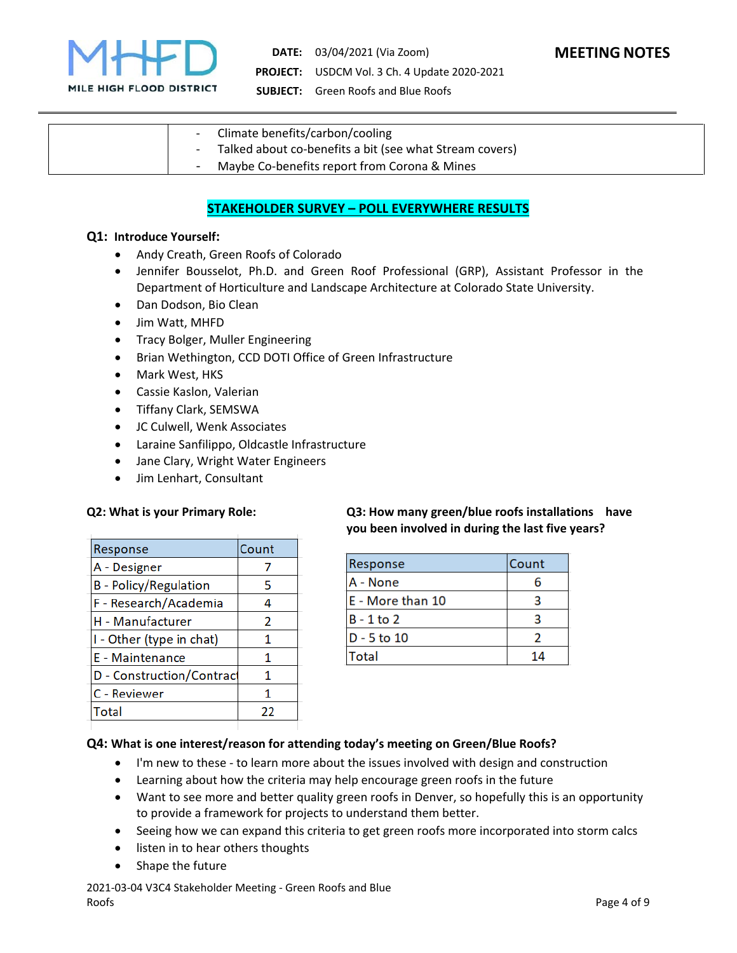

**DATE:** 03/04/2021 (Via Zoom) **MEETING NOTES PROJECT:** USDCM Vol. 3 Ch. 4 Update 2020-2021 **SUBJECT:** Green Roofs and Blue Roofs

- Climate benefits/carbon/cooling
- Talked about co-benefits a bit (see what Stream covers)
- Maybe Co-benefits report from Corona & Mines

# **STAKEHOLDER SURVEY – POLL EVERYWHERE RESULTS**

#### **Q1: Introduce Yourself:**

- Andy Creath, Green Roofs of Colorado
- Jennifer Bousselot, Ph.D. and Green Roof Professional (GRP), Assistant Professor in the Department of Horticulture and Landscape Architecture at Colorado State University.
- Dan Dodson, Bio Clean
- Jim Watt, MHFD
- Tracy Bolger, Muller Engineering
- Brian Wethington, CCD DOTI Office of Green Infrastructure
- Mark West, HKS
- Cassie Kaslon, Valerian
- Tiffany Clark, SEMSWA
- JC Culwell, Wenk Associates
- Laraine Sanfilippo, Oldcastle Infrastructure
- Jane Clary, Wright Water Engineers
- Jim Lenhart, Consultant

| Response                     | Count |
|------------------------------|-------|
| A - Designer                 |       |
| <b>B</b> - Policy/Regulation | 5     |
| F - Research/Academia        | 4     |
| H - Manufacturer             | 2     |
| I - Other (type in chat)     | 1     |
| E - Maintenance              | 1     |
| D - Construction/Contract    | 1     |
| C - Reviewer                 | 1     |
| Total                        | 22    |

## **Q2: What is your Primary Role: Q3: How many green/blue roofs installations have you been involved in during the last five years?**

| Response         | Count |
|------------------|-------|
| A - None         | 6     |
| E - More than 10 | ર     |
| $B - 1$ to 2     | ર     |
| D - 5 to 10      |       |
| Total            | 14    |

#### **Q4: What is one interest/reason for attending today's meeting on Green/Blue Roofs?**

- I'm new to these to learn more about the issues involved with design and construction
- Learning about how the criteria may help encourage green roofs in the future
- Want to see more and better quality green roofs in Denver, so hopefully this is an opportunity to provide a framework for projects to understand them better.
- Seeing how we can expand this criteria to get green roofs more incorporated into storm calcs
- listen in to hear others thoughts
- Shape the future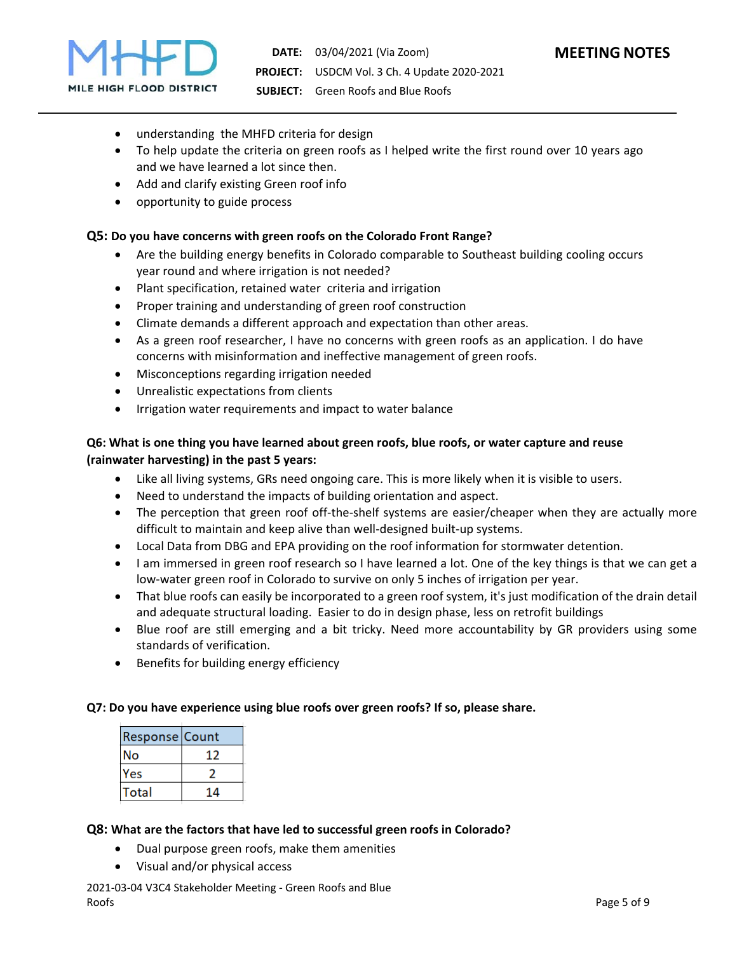

- understanding the MHFD criteria for design
- To help update the criteria on green roofs as I helped write the first round over 10 years ago and we have learned a lot since then.
- Add and clarify existing Green roof info
- opportunity to guide process

#### **Q5: Do you have concerns with green roofs on the Colorado Front Range?**

- Are the building energy benefits in Colorado comparable to Southeast building cooling occurs year round and where irrigation is not needed?
- Plant specification, retained water criteria and irrigation
- Proper training and understanding of green roof construction
- Climate demands a different approach and expectation than other areas.
- As a green roof researcher, I have no concerns with green roofs as an application. I do have concerns with misinformation and ineffective management of green roofs.
- Misconceptions regarding irrigation needed
- Unrealistic expectations from clients
- Irrigation water requirements and impact to water balance

## **Q6: What is one thing you have learned about green roofs, blue roofs, or water capture and reuse (rainwater harvesting) in the past 5 years:**

- Like all living systems, GRs need ongoing care. This is more likely when it is visible to users.
- Need to understand the impacts of building orientation and aspect.
- The perception that green roof off-the-shelf systems are easier/cheaper when they are actually more difficult to maintain and keep alive than well-designed built-up systems.
- Local Data from DBG and EPA providing on the roof information for stormwater detention.
- I am immersed in green roof research so I have learned a lot. One of the key things is that we can get a low-water green roof in Colorado to survive on only 5 inches of irrigation per year.
- That blue roofs can easily be incorporated to a green roof system, it's just modification of the drain detail and adequate structural loading. Easier to do in design phase, less on retrofit buildings
- Blue roof are still emerging and a bit tricky. Need more accountability by GR providers using some standards of verification.
- Benefits for building energy efficiency

#### **Q7: Do you have experience using blue roofs over green roofs? If so, please share.**

| Response Count |    |
|----------------|----|
| No             |    |
| Yes            |    |
| <b>Total</b>   | 14 |

#### **Q8: What are the factors that have led to successful green roofs in Colorado?**

- Dual purpose green roofs, make them amenities
- Visual and/or physical access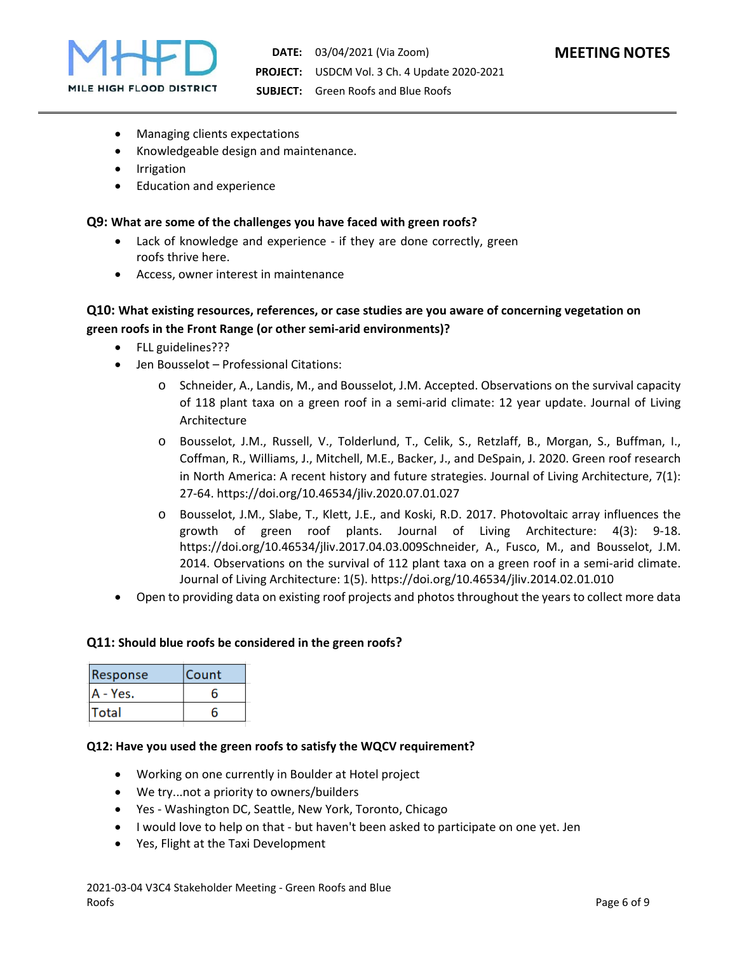

- Managing clients expectations
- Knowledgeable design and maintenance.
- Irrigation
- Education and experience

#### **Q9: What are some of the challenges you have faced with green roofs?**

- Lack of knowledge and experience if they are done correctly, green roofs thrive here.
- Access, owner interest in maintenance

## **Q10: What existing resources, references, or case studies are you aware of concerning vegetation on green roofs in the Front Range (or other semi-arid environments)?**

- FLL guidelines???
- Jen Bousselot Professional Citations:
	- o Schneider, A., Landis, M., and Bousselot, J.M. Accepted. Observations on the survival capacity of 118 plant taxa on a green roof in a semi-arid climate: 12 year update. Journal of Living Architecture
	- o Bousselot, J.M., Russell, V., Tolderlund, T., Celik, S., Retzlaff, B., Morgan, S., Buffman, I., Coffman, R., Williams, J., Mitchell, M.E., Backer, J., and DeSpain, J. 2020. Green roof research in North America: A recent history and future strategies. Journal of Living Architecture, 7(1): 27-64. https://doi.org/10.46534/jliv.2020.07.01.027
	- o Bousselot, J.M., Slabe, T., Klett, J.E., and Koski, R.D. 2017. Photovoltaic array influences the growth of green roof plants. Journal of Living Architecture: 4(3): 9-18. https://doi.org/10.46534/jliv.2017.04.03.009Schneider, A., Fusco, M., and Bousselot, J.M. 2014. Observations on the survival of 112 plant taxa on a green roof in a semi-arid climate. Journal of Living Architecture: 1(5). https://doi.org/10.46534/jliv.2014.02.01.010
- Open to providing data on existing roof projects and photos throughout the years to collect more data

#### **Q11: Should blue roofs be considered in the green roofs?**

| Response | Count |
|----------|-------|
| . - Yes. |       |
| Total    |       |

#### **Q12: Have you used the green roofs to satisfy the WQCV requirement?**

- Working on one currently in Boulder at Hotel project
- We try...not a priority to owners/builders
- Yes Washington DC, Seattle, New York, Toronto, Chicago
- I would love to help on that but haven't been asked to participate on one yet. Jen
- Yes, Flight at the Taxi Development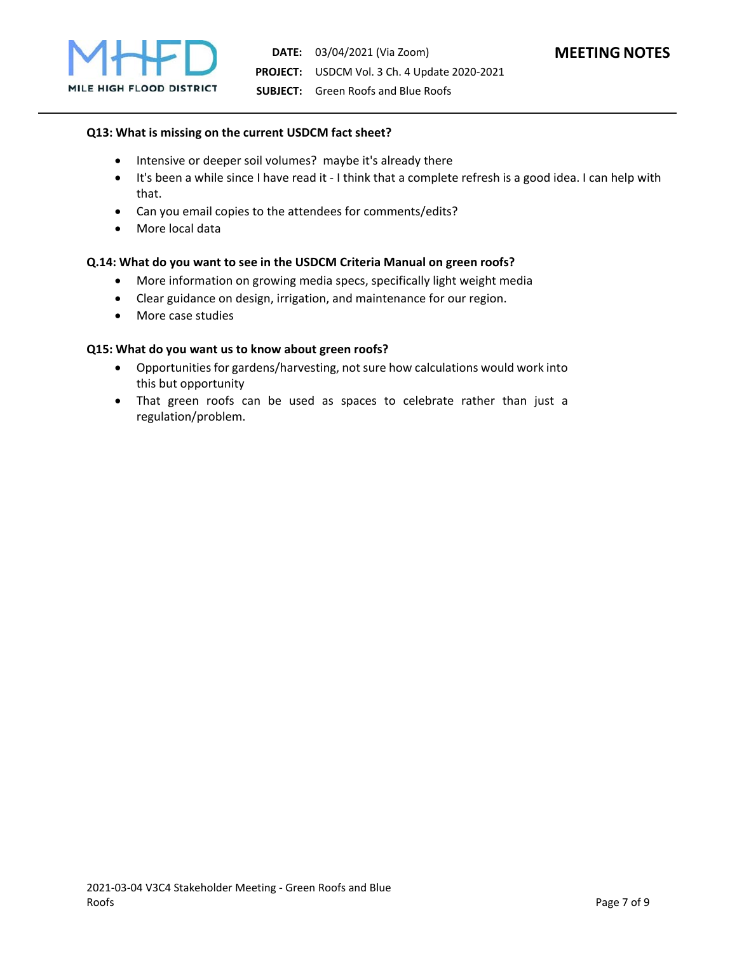#### **Q13: What is missing on the current USDCM fact sheet?**

- Intensive or deeper soil volumes? maybe it's already there
- It's been a while since I have read it I think that a complete refresh is a good idea. I can help with that.
- Can you email copies to the attendees for comments/edits?
- More local data

#### **Q.14: What do you want to see in the USDCM Criteria Manual on green roofs?**

- More information on growing media specs, specifically light weight media
- Clear guidance on design, irrigation, and maintenance for our region.
- More case studies

#### **Q15: What do you want us to know about green roofs?**

- Opportunities for gardens/harvesting, not sure how calculations would work into this but opportunity
- That green roofs can be used as spaces to celebrate rather than just a regulation/problem.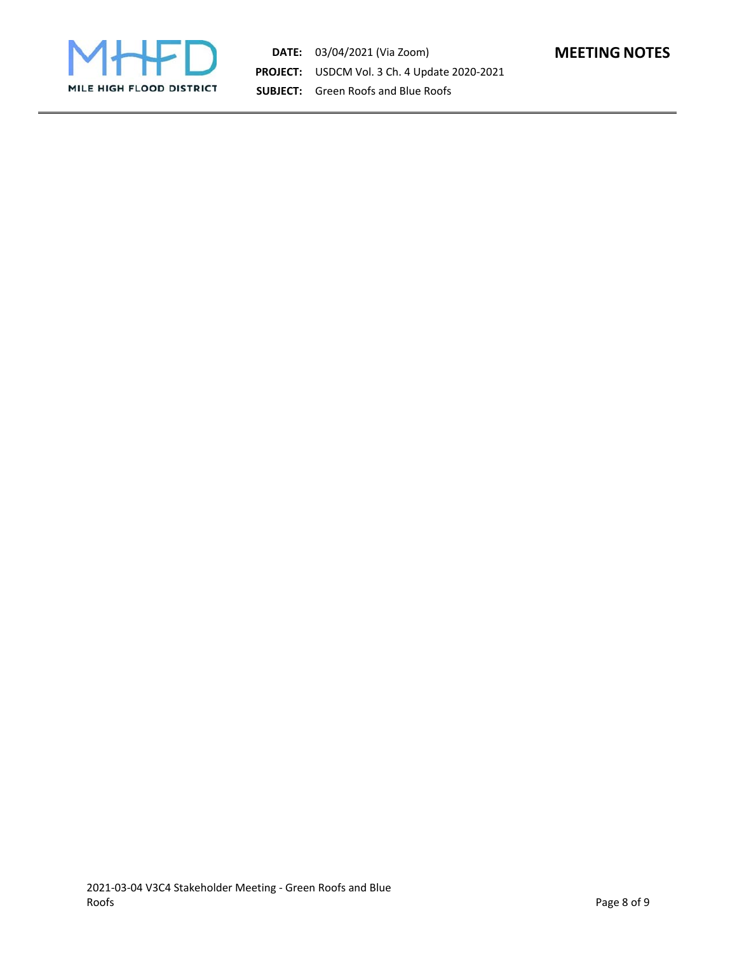

**DATE:** 03/04/2021 (Via Zoom) **MEETING NOTES PROJECT:** USDCM Vol. 3 Ch. 4 Update 2020-2021 **SUBJECT:** Green Roofs and Blue Roofs